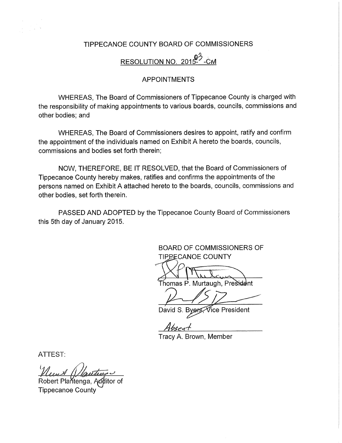## TlPPECANOE COUNTY BOARD OF COMMISSIONERS

## RESOLUTION NO. 2015-<sup>3</sup>-CM

## APPOINTMENTS

WHEREAS, The Board of Commissioners of Tippecanoe County is-charged with the responsibility of making appointments to various boards, councils, commissions and other bodies; and

WHEREAS, The Board of Commissioners desires to appoint, ratify and confirm the appointment of the individuals named on Exhibit <sup>A</sup> hereto the boards, councils, commissions and bodies set forth therein;

NOW, THEREFORE, BE IT RESOLVED, that the Board of Commissioners of Tippecanoe County hereby makes, ratifies and confirms the appointments of the persons named on Exhibit <sup>A</sup> attached hereto to the boards, councils, commissions and other bodies, set forth therein.

PASSED AND ADOPTED by the Tippecanoe County Board of Commissioners this 5th day of January 2015.

> BOARD OF COMMISSIONERS OF **TIPPECANOE COUNTY**

 $\rightarrow$   $\rightarrow$   $\rightarrow$   $\rightarrow$ Thomas P. Murtaugh, President

David S. Byers, Vice President

Tracy A. Brown, Member

ATTEST:

Robert Plantenga, Additor of Tippecanoe County